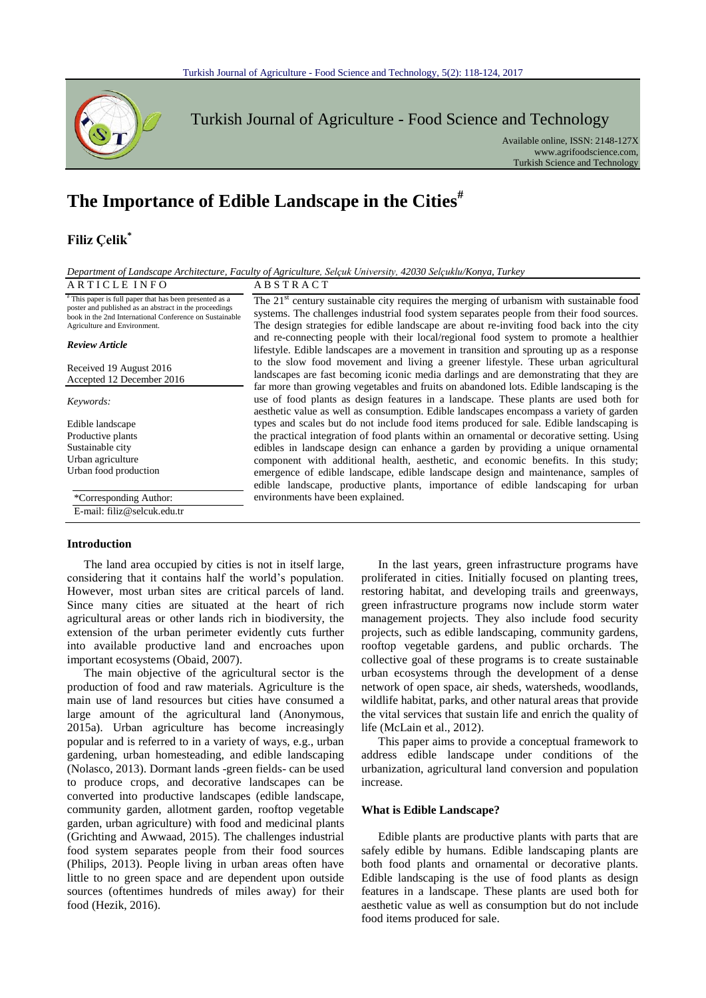

Turkish Journal of Agriculture - Food Science and Technology

Available online, ISSN: 2148-127X www.agrifoodscience.com, Turkish Science and Technology

# **The Importance of Edible Landscape in the Cities#**

# **Filiz Çelik\***

| Department of Landscape Architecture, Faculty of Agriculture, Selçuk University, 42030 Selçuklu/Konya, Turkey |  |                                                           |  |  |  |
|---------------------------------------------------------------------------------------------------------------|--|-----------------------------------------------------------|--|--|--|
| $\cdots$ $\cdots$ $\cdots$ $\cdots$ $\cdots$                                                                  |  | $\cdots$ $\sim$ $\sim$ $\sim$ $\sim$ $\sim$ $\sim$ $\sim$ |  |  |  |

| ARTICLEINFO                                                                                                                                                                                                 | ABSTRACT                                                                                                                                                                                                                                                                                                                                                                                                                                                                          |  |  |  |  |
|-------------------------------------------------------------------------------------------------------------------------------------------------------------------------------------------------------------|-----------------------------------------------------------------------------------------------------------------------------------------------------------------------------------------------------------------------------------------------------------------------------------------------------------------------------------------------------------------------------------------------------------------------------------------------------------------------------------|--|--|--|--|
| "This paper is full paper that has been presented as a<br>poster and published as an abstract in the proceedings<br>book in the 2nd International Conference on Sustainable<br>Agriculture and Environment. | The 21 <sup>st</sup> century sustainable city requires the merging of urbanism with sustainable food<br>systems. The challenges industrial food system separates people from their food sources.<br>The design strategies for edible landscape are about re-inviting food back into the city<br>and re-connecting people with their local/regional food system to promote a healthier<br>lifestyle. Edible landscapes are a movement in transition and sprouting up as a response |  |  |  |  |
| <b>Review Article</b>                                                                                                                                                                                       |                                                                                                                                                                                                                                                                                                                                                                                                                                                                                   |  |  |  |  |
| Received 19 August 2016<br>Accepted 12 December 2016                                                                                                                                                        | to the slow food movement and living a greener lifestyle. These urban agricultural<br>landscapes are fast becoming iconic media darlings and are demonstrating that they are<br>far more than growing vegetables and fruits on abandoned lots. Edible landscaping is the                                                                                                                                                                                                          |  |  |  |  |
| Keywords:                                                                                                                                                                                                   | use of food plants as design features in a landscape. These plants are used both for<br>aesthetic value as well as consumption. Edible landscapes encompass a variety of garden                                                                                                                                                                                                                                                                                                   |  |  |  |  |
| Edible landscape                                                                                                                                                                                            | types and scales but do not include food items produced for sale. Edible landscaping is                                                                                                                                                                                                                                                                                                                                                                                           |  |  |  |  |
| Productive plants                                                                                                                                                                                           | the practical integration of food plants within an ornamental or decorative setting. Using                                                                                                                                                                                                                                                                                                                                                                                        |  |  |  |  |
| Sustainable city                                                                                                                                                                                            | edibles in landscape design can enhance a garden by providing a unique ornamental                                                                                                                                                                                                                                                                                                                                                                                                 |  |  |  |  |
| Urban agriculture                                                                                                                                                                                           | component with additional health, aesthetic, and economic benefits. In this study;                                                                                                                                                                                                                                                                                                                                                                                                |  |  |  |  |
| Urban food production                                                                                                                                                                                       | emergence of edible landscape, edible landscape design and maintenance, samples of<br>edible landscape, productive plants, importance of edible landscaping for urban                                                                                                                                                                                                                                                                                                             |  |  |  |  |
| *Corresponding Author:                                                                                                                                                                                      | environments have been explained.                                                                                                                                                                                                                                                                                                                                                                                                                                                 |  |  |  |  |
| E-mail: filiz@selcuk.edu.tr                                                                                                                                                                                 |                                                                                                                                                                                                                                                                                                                                                                                                                                                                                   |  |  |  |  |
|                                                                                                                                                                                                             |                                                                                                                                                                                                                                                                                                                                                                                                                                                                                   |  |  |  |  |

## **Introduction**

The land area occupied by cities is not in itself large, considering that it contains half the world's population. However, most urban sites are critical parcels of land. Since many cities are situated at the heart of rich agricultural areas or other lands rich in biodiversity, the extension of the urban perimeter evidently cuts further into available productive land and encroaches upon important ecosystems (Obaid, 2007).

The main objective of the agricultural sector is the production of food and raw materials. Agriculture is the main use of land resources but cities have consumed a large amount of the agricultural land (Anonymous, 2015a). Urban agriculture has become increasingly popular and is referred to in a variety of ways, e.g., urban gardening, urban homesteading, and edible landscaping (Nolasco, 2013). Dormant lands -green fields- can be used to produce crops, and decorative landscapes can be converted into productive landscapes (edible landscape, community garden, allotment garden, rooftop vegetable garden, urban agriculture) with food and medicinal plants (Grichting and Awwaad, 2015). The challenges industrial food system separates people from their food sources (Philips, 2013). People living in urban areas often have little to no green space and are dependent upon outside sources (oftentimes hundreds of miles away) for their food (Hezik, 2016).

In the last years, green infrastructure programs have proliferated in cities. Initially focused on planting trees, restoring habitat, and developing trails and greenways, green infrastructure programs now include storm water management projects. They also include food security projects, such as edible landscaping, community gardens, rooftop vegetable gardens, and public orchards. The collective goal of these programs is to create sustainable urban ecosystems through the development of a dense network of open space, air sheds, watersheds, woodlands, wildlife habitat, parks, and other natural areas that provide the vital services that sustain life and enrich the quality of life (McLain et al., 2012).

This paper aims to provide a conceptual framework to address edible landscape under conditions of the urbanization, agricultural land conversion and population increase.

#### **What is Edible Landscape?**

Edible plants are productive plants with parts that are safely edible by humans. Edible landscaping plants are both food plants and ornamental or decorative plants. Edible landscaping is the use of food plants as design features in a landscape. These plants are used both for aesthetic value as well as consumption but do not include food items produced for sale.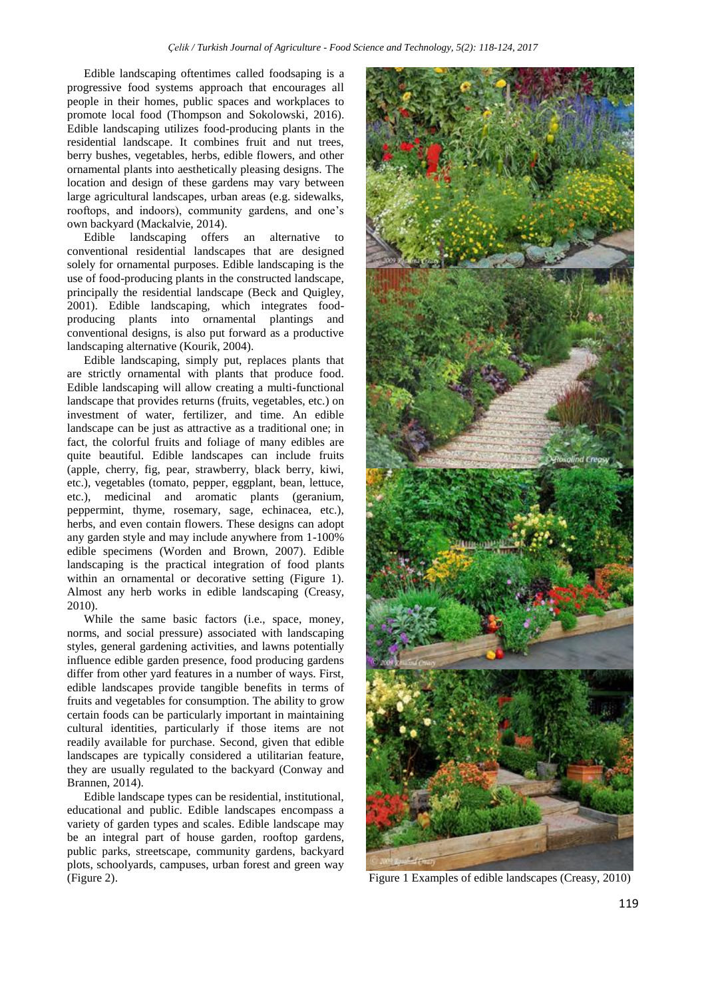Edible landscaping oftentimes called foodsaping is a progressive food systems approach that encourages all people in their homes, public spaces and workplaces to promote local food (Thompson and Sokolowski, 2016). Edible landscaping utilizes food-producing plants in the residential landscape. It combines fruit and nut trees, berry bushes, vegetables, herbs, edible flowers, and other ornamental plants into aesthetically pleasing designs. The location and design of these gardens may vary between large agricultural landscapes, urban areas (e.g. sidewalks, rooftops, and indoors), community gardens, and one's own backyard (Mackalvie, 2014).

Edible landscaping offers an alternative to conventional residential landscapes that are designed solely for ornamental purposes. Edible landscaping is the use of food-producing plants in the constructed landscape, principally the residential landscape (Beck and Quigley, 2001). Edible landscaping, which integrates foodproducing plants into ornamental plantings and conventional designs, is also put forward as a productive landscaping alternative (Kourik, 2004).

Edible landscaping, simply put, replaces plants that are strictly ornamental with plants that produce food. Edible landscaping will allow creating a multi-functional landscape that provides returns (fruits, vegetables, etc.) on investment of water, fertilizer, and time. An edible landscape can be just as attractive as a traditional one; in fact, the colorful fruits and foliage of many edibles are quite beautiful. Edible landscapes can include fruits (apple, cherry, fig, pear, strawberry, black berry, kiwi, etc.), vegetables (tomato, pepper, eggplant, bean, lettuce, etc.), medicinal and aromatic plants (geranium, peppermint, thyme, rosemary, sage, echinacea, etc.), herbs, and even contain flowers. These designs can adopt any garden style and may include anywhere from 1-100% edible specimens (Worden and Brown, 2007). Edible landscaping is the practical integration of food plants within an ornamental or decorative setting (Figure 1). Almost any herb works in edible landscaping (Creasy, 2010).

While the same basic factors (i.e., space, money, norms, and social pressure) associated with landscaping styles, general gardening activities, and lawns potentially influence edible garden presence, food producing gardens differ from other yard features in a number of ways. First, edible landscapes provide tangible benefits in terms of fruits and vegetables for consumption. The ability to grow certain foods can be particularly important in maintaining cultural identities, particularly if those items are not readily available for purchase. Second, given that edible landscapes are typically considered a utilitarian feature, they are usually regulated to the backyard (Conway and Brannen, 2014).

Edible landscape types can be residential, institutional, educational and public. Edible landscapes encompass a variety of garden types and scales. Edible landscape may be an integral part of house garden, rooftop gardens, public parks, streetscape, community gardens, backyard plots, schoolyards, campuses, urban forest and green way (Figure 2). Figure 1 Examples of edible landscapes (Creasy, 2010)

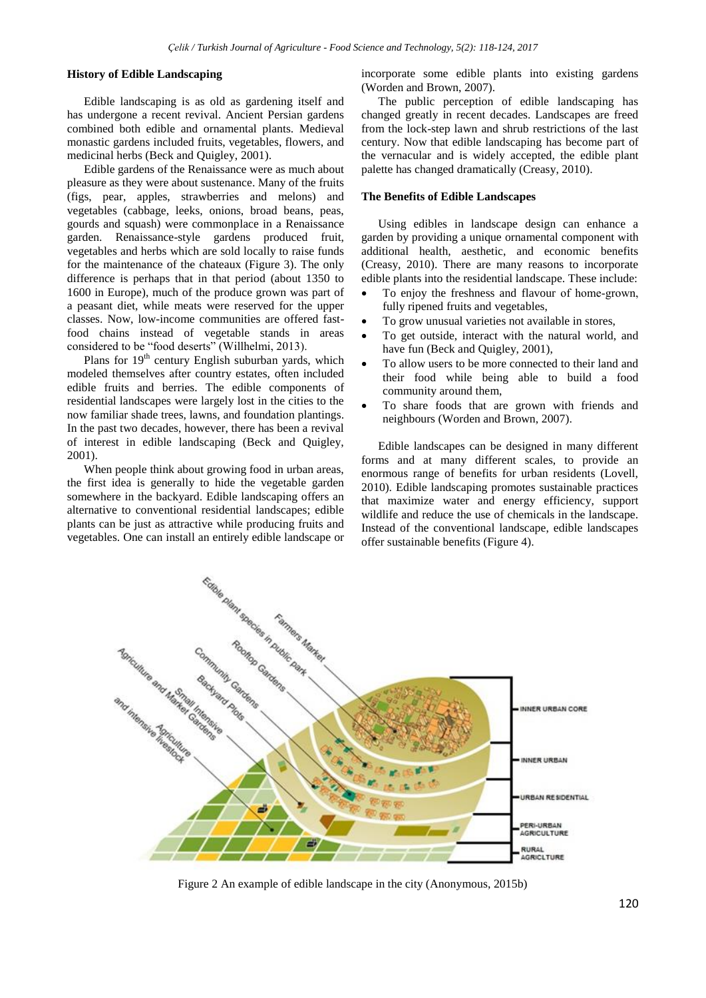#### **History of Edible Landscaping**

Edible landscaping is as old as gardening itself and has undergone a recent revival. Ancient Persian gardens combined both edible and ornamental plants. Medieval monastic gardens included fruits, vegetables, flowers, and medicinal herbs (Beck and Quigley, 2001).

Edible gardens of the Renaissance were as much about pleasure as they were about sustenance. Many of the fruits (figs, pear, apples, strawberries and melons) and vegetables (cabbage, leeks, onions, broad beans, peas, gourds and squash) were commonplace in a Renaissance garden. Renaissance-style gardens produced fruit, vegetables and herbs which are sold locally to raise funds for the maintenance of the chateaux (Figure 3). The only difference is perhaps that in that period (about 1350 to 1600 in Europe), much of the produce grown was part of a peasant diet, while meats were reserved for the upper classes. Now, low-income communities are offered fastfood chains instead of vegetable stands in areas considered to be "food deserts" (Willhelmi, 2013).

Plans for  $19<sup>th</sup>$  century English suburban yards, which modeled themselves after country estates, often included edible fruits and berries. The edible components of residential landscapes were largely lost in the cities to the now familiar shade trees, lawns, and foundation plantings. In the past two decades, however, there has been a revival of interest in edible landscaping (Beck and Quigley, 2001).

When people think about growing food in urban areas, the first idea is generally to hide the vegetable garden somewhere in the backyard. Edible landscaping offers an alternative to conventional residential landscapes; edible plants can be just as attractive while producing fruits and vegetables. One can install an entirely edible landscape or incorporate some edible plants into existing gardens (Worden and Brown, 2007).

The public perception of edible landscaping has changed greatly in recent decades. Landscapes are freed from the lock-step lawn and shrub restrictions of the last century. Now that edible landscaping has become part of the vernacular and is widely accepted, the edible plant palette has changed dramatically (Creasy, 2010).

#### **The Benefits of Edible Landscapes**

Using edibles in landscape design can enhance a garden by providing a unique ornamental component with additional health, aesthetic, and economic benefits (Creasy, 2010). There are many reasons to incorporate edible plants into the residential landscape. These include:

- To enjoy the freshness and flavour of home-grown, fully ripened fruits and vegetables,
- To grow unusual varieties not available in stores,
- To get outside, interact with the natural world, and have fun (Beck and Quigley, 2001),
- To allow users to be more connected to their land and their food while being able to build a food community around them,
- To share foods that are grown with friends and neighbours (Worden and Brown, 2007).

Edible landscapes can be designed in many different forms and at many different scales, to provide an enormous range of benefits for urban residents (Lovell, 2010). Edible landscaping promotes sustainable practices that maximize water and energy efficiency, support wildlife and reduce the use of chemicals in the landscape. Instead of the conventional landscape, edible landscapes offer sustainable benefits (Figure 4).



Figure 2 An example of edible landscape in the city (Anonymous, 2015b)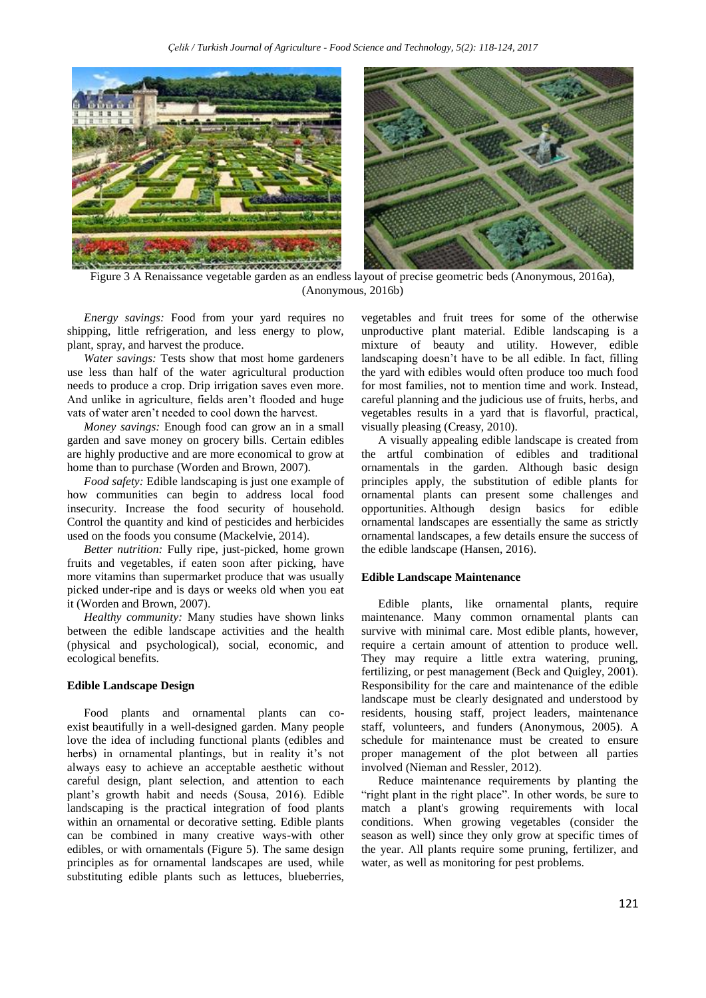

Figure 3 A Renaissance vegetable garden as an endless layout of precise geometric beds (Anonymous, 2016a), (Anonymous, 2016b)

*Energy savings:* Food from your yard requires no shipping, little refrigeration, and less energy to plow, plant, spray, and harvest the produce.

*Water savings:* Tests show that most home gardeners use less than half of the water agricultural production needs to produce a crop. Drip irrigation saves even more. And unlike in agriculture, fields aren't flooded and huge vats of water aren't needed to cool down the harvest.

*Money savings:* Enough food can grow an in a small garden and save money on grocery bills. Certain edibles are highly productive and are more economical to grow at home than to purchase (Worden and Brown, 2007).

*Food safety:* Edible landscaping is just one example of how communities can begin to address local food insecurity. Increase the food security of household. Control the quantity and kind of pesticides and herbicides used on the foods you consume (Mackelvie, 2014).

*Better nutrition:* Fully ripe, just-picked, home grown fruits and vegetables, if eaten soon after picking, have more vitamins than supermarket produce that was usually picked under-ripe and is days or weeks old when you eat it (Worden and Brown, 2007).

*Healthy community:* Many studies have shown links between the edible landscape activities and the health (physical and psychological), social, economic, and ecological benefits.

#### **Edible Landscape Design**

Food plants and ornamental plants can coexist beautifully in a well-designed garden. Many people love the idea of including functional plants (edibles and herbs) in ornamental plantings, but in reality it's not always easy to achieve an acceptable aesthetic without careful design, plant selection, and attention to each plant's growth habit and needs (Sousa, 2016). Edible landscaping is the practical integration of food plants within an ornamental or decorative setting. Edible plants can be combined in many creative ways-with other edibles, or with ornamentals (Figure 5). The same design principles as for ornamental landscapes are used, while substituting edible plants such as lettuces, blueberries,

vegetables and fruit trees for some of the otherwise unproductive plant material. Edible landscaping is a mixture of beauty and utility. However, edible landscaping doesn't have to be all edible. In fact, filling the yard with edibles would often produce too much food for most families, not to mention time and work. Instead, careful planning and the judicious use of fruits, herbs, and vegetables results in a yard that is flavorful, practical, visually pleasing (Creasy, 2010).

A visually appealing edible landscape is created from the artful combination of edibles and traditional ornamentals in the garden. Although basic design principles apply, the substitution of edible plants for ornamental plants can present some challenges and opportunities. Although design basics for edible ornamental landscapes are essentially the same as strictly ornamental landscapes, a few details ensure the success of the edible landscape (Hansen, 2016).

#### **Edible Landscape Maintenance**

Edible plants, like ornamental plants, require maintenance. Many common ornamental plants can survive with minimal care. Most edible plants, however, require a certain amount of attention to produce well. They may require a little extra watering, pruning, fertilizing, or pest management (Beck and Quigley, 2001). Responsibility for the care and maintenance of the edible landscape must be clearly designated and understood by residents, housing staff, project leaders, maintenance staff, volunteers, and funders (Anonymous, 2005). A schedule for maintenance must be created to ensure proper management of the plot between all parties involved (Nieman and Ressler, 2012).

Reduce maintenance requirements by planting the "right plant in the right place". In other words, be sure to match a plant's growing requirements with local conditions. When growing vegetables (consider the season as well) since they only grow at specific times of the year. All plants require some pruning, fertilizer, and water, as well as monitoring for pest problems.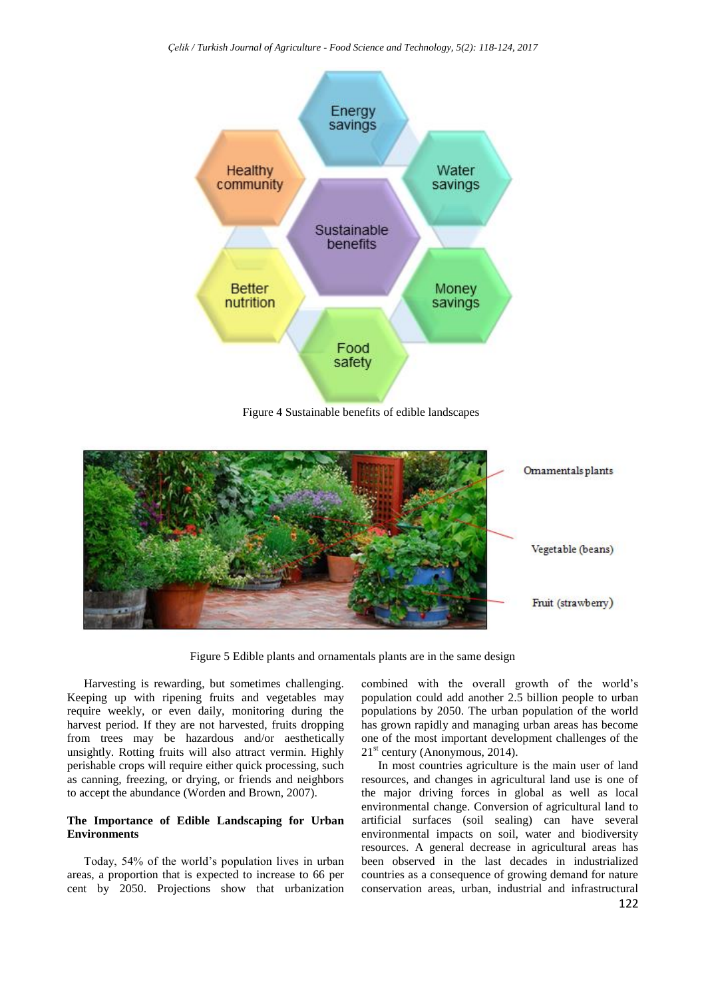*Çelik / Turkish Journal of Agriculture - Food Science and Technology, 5(2): 118-124, 2017*



Figure 4 Sustainable benefits of edible landscapes



Figure 5 Edible plants and ornamentals plants are in the same design

Harvesting is rewarding, but sometimes challenging. Keeping up with ripening fruits and vegetables may require weekly, or even daily, monitoring during the harvest period. If they are not harvested, fruits dropping from trees may be hazardous and/or aesthetically unsightly. Rotting fruits will also attract vermin. Highly perishable crops will require either quick processing, such as canning, freezing, or drying, or friends and neighbors to accept the abundance (Worden and Brown, 2007).

## **The Importance of Edible Landscaping for Urban Environments**

Today, 54% of the world's population lives in urban areas, a proportion that is expected to increase to 66 per cent by 2050. Projections show that urbanization

combined with the overall growth of the world's population could add another 2.5 billion people to urban populations by 2050. The urban population of the world has grown rapidly and managing urban areas has become one of the most important development challenges of the  $21<sup>st</sup>$  century (Anonymous, 2014).

In most countries agriculture is the main user of land resources, and changes in agricultural land use is one of the major driving forces in global as well as local environmental change. Conversion of agricultural land to artificial surfaces (soil sealing) can have several environmental impacts on soil, water and biodiversity resources. A general decrease in agricultural areas has been observed in the last decades in industrialized countries as a consequence of growing demand for nature conservation areas, urban, industrial and infrastructural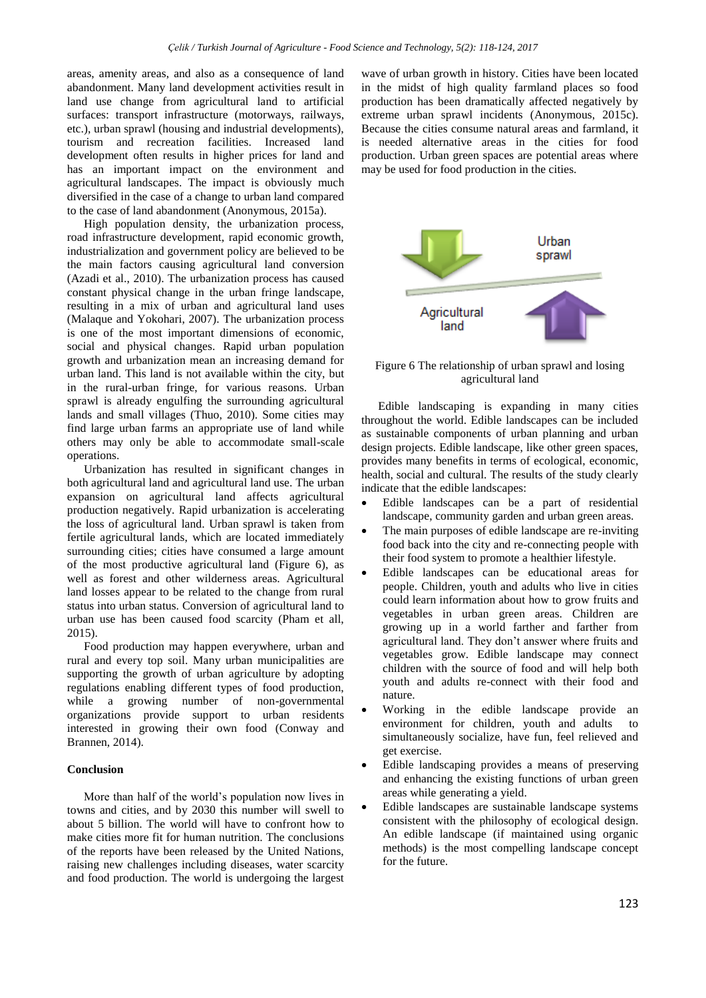areas, amenity areas, and also as a consequence of land abandonment. Many land development activities result in land use change from agricultural land to artificial surfaces: transport infrastructure (motorways, railways, etc.), urban sprawl (housing and industrial developments), tourism and recreation facilities. Increased land development often results in higher prices for land and has an important impact on the environment and agricultural landscapes. The impact is obviously much diversified in the case of a change to urban land compared to the case of land abandonment (Anonymous, 2015a).

High population density, the urbanization process, road infrastructure development, rapid economic growth, industrialization and government policy are believed to be the main factors causing agricultural land conversion (Azadi et al., 2010). The urbanization process has caused constant physical change in the urban fringe landscape, resulting in a mix of urban and agricultural land uses (Malaque and Yokohari, 2007). The urbanization process is one of the most important dimensions of economic, social and physical changes. Rapid urban population growth and urbanization mean an increasing demand for urban land. This land is not available within the city, but in the rural-urban fringe, for various reasons. Urban sprawl is already engulfing the surrounding agricultural lands and small villages (Thuo, 2010). Some cities may find large urban farms an appropriate use of land while others may only be able to accommodate small-scale operations.

Urbanization has resulted in significant changes in both agricultural land and agricultural land use. The urban expansion on agricultural land affects agricultural production negatively. Rapid urbanization is accelerating the loss of agricultural land. Urban sprawl is taken from fertile agricultural lands, which are located immediately surrounding cities; cities have consumed a large amount of the most productive agricultural land (Figure 6), as well as forest and other wilderness areas. Agricultural land losses appear to be related to the change from rural status into urban status. Conversion of agricultural land to urban use has been caused food scarcity (Pham et all, 2015).

Food production may happen everywhere, urban and rural and every top soil. Many urban municipalities are supporting the growth of urban agriculture by adopting regulations enabling different types of food production, while a growing number of non-governmental organizations provide support to urban residents interested in growing their own food (Conway and Brannen, 2014).

#### **Conclusion**

More than half of the world's population now lives in towns and cities, and by 2030 this number will swell to about 5 billion. The world will have to confront how to make cities more fit for human nutrition. The conclusions of the reports have been released by the United Nations, raising new challenges including diseases, water scarcity and food production. The world is undergoing the largest

wave of urban growth in history. Cities have been located in the midst of high quality farmland places so food production has been dramatically affected negatively by extreme urban sprawl incidents (Anonymous, 2015c). Because the cities consume natural areas and farmland, it is needed alternative areas in the cities for food production. Urban green spaces are potential areas where may be used for food production in the cities.



Figure 6 The relationship of urban sprawl and losing agricultural land

Edible landscaping is expanding in many cities throughout the world. Edible landscapes can be included as sustainable components of urban planning and urban design projects. Edible landscape, like other green spaces, provides many benefits in terms of ecological, economic, health, social and cultural. The results of the study clearly indicate that the edible landscapes:

- Edible landscapes can be a part of residential landscape, community garden and urban green areas.
- The main purposes of edible landscape are re-inviting food back into the city and re-connecting people with their food system to promote a healthier lifestyle.
- Edible landscapes can be educational areas for people. Children, youth and adults who live in cities could learn information about how to grow fruits and vegetables in urban green areas. Children are growing up in a world farther and farther from agricultural land. They don't answer where fruits and vegetables grow. Edible landscape may connect children with the source of food and will help both youth and adults re-connect with their food and nature.
- Working in the edible landscape provide an environment for children, youth and adults to simultaneously socialize, have fun, feel relieved and get exercise.
- Edible landscaping provides a means of preserving and enhancing the existing functions of urban green areas while generating a yield.
- Edible landscapes are sustainable landscape systems consistent with the philosophy of ecological design. An edible landscape (if maintained using organic methods) is the most compelling landscape concept for the future.